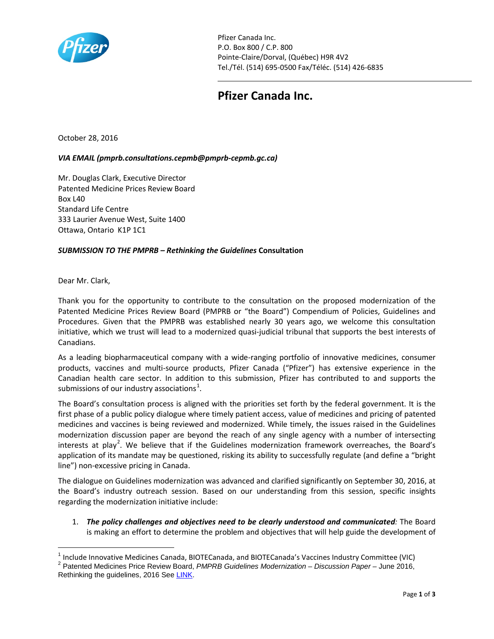

Pfizer Canada Inc. P.O. Box 800 / C.P. 800 Pointe-Claire/Dorval, (Québec) H9R 4V2 Tel./Tél. (514) 695-0500 Fax/Téléc. (514) 426-6835

## **Pfizer Canada Inc.**

October 28, 2016

## *VIA EMAIL (pmprb.consultations.cepmb@pmprb-cepmb.gc.ca)*

Mr. Douglas Clark, Executive Director Patented Medicine Prices Review Board  $Box 140$ Standard Life Centre 333 Laurier Avenue West, Suite 1400 Ottawa, Ontario K1P 1C1

## *SUBMISSION TO THE PMPRB – Rethinking the Guidelines* **Consultation**

Dear Mr. Clark,

 $\overline{a}$ 

Thank you for the opportunity to contribute to the consultation on the proposed modernization of the Patented Medicine Prices Review Board (PMPRB or "the Board") Compendium of Policies, Guidelines and Procedures. Given that the PMPRB was established nearly 30 years ago, we welcome this consultation initiative, which we trust will lead to a modernized quasi-judicial tribunal that supports the best interests of Canadians.

As a leading biopharmaceutical company with a wide-ranging portfolio of innovative medicines, consumer products, vaccines and multi-source products, Pfizer Canada ("Pfizer") has extensive experience in the Canadian health care sector. In addition to this submission, Pfizer has contributed to and supports the submissions of our industry associations $^1$  $^1$ .

The Board's consultation process is aligned with the priorities set forth by the federal government. It is the first phase of a public policy dialogue where timely patient access, value of medicines and pricing of patented medicines and vaccines is being reviewed and modernized. While timely, the issues raised in the Guidelines modernization discussion paper are beyond the reach of any single agency with a number of intersecting interests at play<sup>[2](#page-0-1)</sup>. We believe that if the Guidelines modernization framework overreaches, the Board's application of its mandate may be questioned, risking its ability to successfully regulate (and define a "bright line") non-excessive pricing in Canada.

The dialogue on Guidelines modernization was advanced and clarified significantly on September 30, 2016, at the Board's industry outreach session. Based on our understanding from this session, specific insights regarding the modernization initiative include:

1. *The policy challenges and objectives need to be clearly understood and communicated:* The Board is making an effort to determine the problem and objectives that will help guide the development of

<span id="page-0-1"></span><span id="page-0-0"></span><sup>&</sup>lt;sup>1</sup> Include Innovative Medicines Canada, BIOTECanada, and BIOTECanada's Vaccines Industry Committee (VIC) <sup>2</sup> Patented Medicines Price Review Board, *PMPRB Guidelines Modernization – Discussion Paper –* June 2016, Rethinking the guidelines, 2016 Se[e LINK.](http://www.pmprb-cepmb.gc.ca/en/news-and-events/consultations/current-major-consultations/rethinking-the-guidelines/discussion-paper%23a16)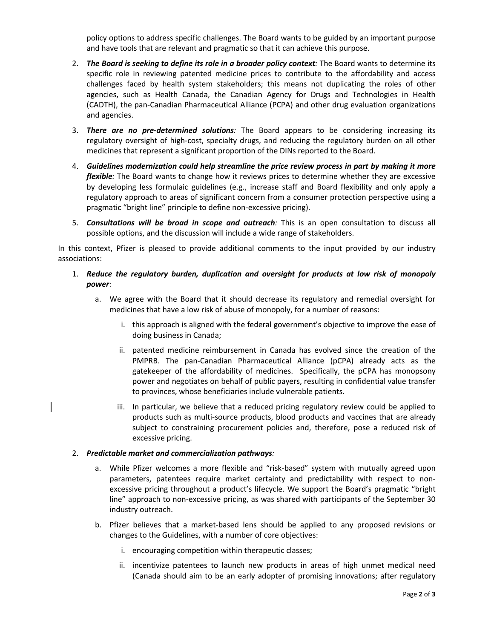policy options to address specific challenges. The Board wants to be guided by an important purpose and have tools that are relevant and pragmatic so that it can achieve this purpose.

- 2. *The Board is seeking to define its role in a broader policy context:* The Board wants to determine its specific role in reviewing patented medicine prices to contribute to the affordability and access challenges faced by health system stakeholders; this means not duplicating the roles of other agencies, such as Health Canada, the Canadian Agency for Drugs and Technologies in Health (CADTH), the pan-Canadian Pharmaceutical Alliance (PCPA) and other drug evaluation organizations and agencies.
- 3. *There are no pre-determined solutions:* The Board appears to be considering increasing its regulatory oversight of high-cost, specialty drugs, and reducing the regulatory burden on all other medicines that represent a significant proportion of the DINs reported to the Board.
- 4. *Guidelines modernization could help streamline the price review process in part by making it more flexible:* The Board wants to change how it reviews prices to determine whether they are excessive by developing less formulaic guidelines (e.g., increase staff and Board flexibility and only apply a regulatory approach to areas of significant concern from a consumer protection perspective using a pragmatic "bright line" principle to define non-excessive pricing).
- 5. *Consultations will be broad in scope and outreach:* This is an open consultation to discuss all possible options, and the discussion will include a wide range of stakeholders.

In this context, Pfizer is pleased to provide additional comments to the input provided by our industry associations:

- 1. *Reduce the regulatory burden, duplication and oversight for products at low risk of monopoly power*:
	- a. We agree with the Board that it should decrease its regulatory and remedial oversight for medicines that have a low risk of abuse of monopoly, for a number of reasons:
		- i. this approach is aligned with the federal government's objective to improve the ease of doing business in Canada;
		- ii. patented medicine reimbursement in Canada has evolved since the creation of the PMPRB. The pan-Canadian Pharmaceutical Alliance (pCPA) already acts as the gatekeeper of the affordability of medicines. Specifically, the pCPA has monopsony power and negotiates on behalf of public payers, resulting in confidential value transfer to provinces, whose beneficiaries include vulnerable patients.
		- iii. In particular, we believe that a reduced pricing regulatory review could be applied to products such as multi-source products, blood products and vaccines that are already subject to constraining procurement policies and, therefore, pose a reduced risk of excessive pricing.

## 2. *Predictable market and commercialization pathways:*

- a. While Pfizer welcomes a more flexible and "risk-based" system with mutually agreed upon parameters, patentees require market certainty and predictability with respect to nonexcessive pricing throughout a product's lifecycle. We support the Board's pragmatic "bright line" approach to non-excessive pricing, as was shared with participants of the September 30 industry outreach.
- b. Pfizer believes that a market-based lens should be applied to any proposed revisions or changes to the Guidelines, with a number of core objectives:
	- i. encouraging competition within therapeutic classes;
	- ii. incentivize patentees to launch new products in areas of high unmet medical need (Canada should aim to be an early adopter of promising innovations; after regulatory